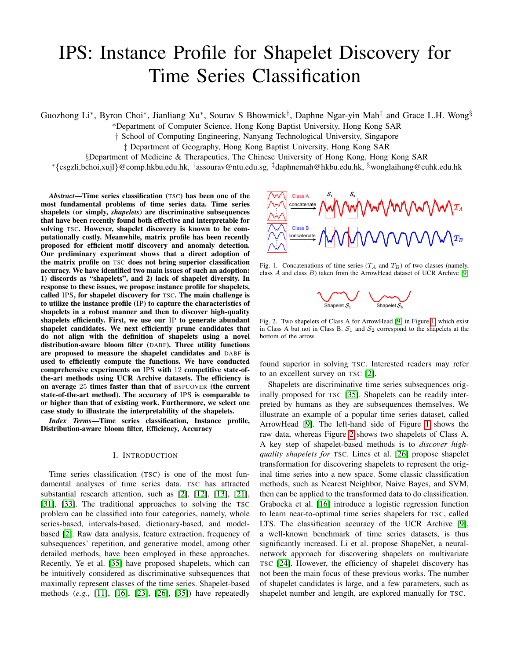# IPS: Instance Profile for Shapelet Discovery for Time Series Classification

Guozhong Li<sup>∗</sup>, Byron Choi<sup>∗</sup>, Jianliang Xu<sup>∗</sup>, Sourav S Bhowmick<sup>†</sup>, Daphne Ngar-yin Mah<sup>‡</sup> and Grace L.H. Wong<sup>§</sup>

\*Department of Computer Science, Hong Kong Baptist University, Hong Kong SAR

† School of Computing Engineering, Nanyang Technological University, Singapore

‡ Department of Geography, Hong Kong Baptist University, Hong Kong SAR

§Department of Medicine & Therapeutics, The Chinese University of Hong Kong, Hong Kong SAR

\* {csgzli,bchoi,xujl} @comp.hkbu.edu.hk, <sup>†</sup>assourav@ntu.edu.sg, <sup>‡</sup>daphnemah@hkbu.edu.hk, <sup>§</sup>wonglaihung@cuhk.edu.hk

*Abstract*—Time series classification (TSC) has been one of the most fundamental problems of time series data. Time series shapelets (or simply, *shapelets*) are discriminative subsequences that have been recently found both effective and interpretable for solving TSC. However, shapelet discovery is known to be computationally costly. Meanwhile, matrix profile has been recently proposed for efficient motif discovery and anomaly detection. Our preliminary experiment shows that a direct adoption of the matrix profile on TSC does not bring superior classification accuracy. We have identified two main issues of such an adoption: 1) discords as "shapelets", and 2) lack of shapelet diversity. In response to these issues, we propose instance profile for shapelets, called IPS, for shapelet discovery for TSC. The main challenge is to utilize the instance profile (IP) to capture the characteristics of shapelets in a robust manner and then to discover high-quality shapelets efficiently. First, we use our IP to generate abundant shapelet candidates. We next efficiently prune candidates that do not align with the definition of shapelets using a novel distribution-aware bloom filter (DABF). Three utility functions are proposed to measure the shapelet candidates and DABF is used to efficiently compute the functions. We have conducted comprehensive experiments on IPS with 12 competitive state-ofthe-art methods using UCR Archive datasets. The efficiency is on average 25 times faster than that of BSPCOVER (the current state-of-the-art method). The accuracy of IPS is comparable to or higher than that of existing work. Furthermore, we select one case study to illustrate the interpretability of the shapelets.

*Index Terms*—Time series classification, Instance profile, Distribution-aware bloom filter, Efficiency, Accuracy

# I. INTRODUCTION

Time series classification (TSC) is one of the most fundamental analyses of time series data. TSC has attracted substantial research attention, such as [\[2\]](#page-12-0), [\[12\]](#page-12-1), [\[13\]](#page-12-2), [\[21\]](#page-12-3), [\[31\]](#page-12-4), [\[33\]](#page-12-5). The traditional approaches to solving the TSC problem can be classified into four categories, namely, whole series-based, intervals-based, dictionary-based, and modelbased [\[2\]](#page-12-0). Raw data analysis, feature extraction, frequency of subsequences' repetition, and generative model, among other detailed methods, have been employed in these approaches. Recently, Ye et al. [\[35\]](#page-12-6) have proposed shapelets, which can be intuitively considered as discriminative subsequences that maximally represent classes of the time series. Shapelet-based methods (*e.g.*, [\[11\]](#page-12-7), [\[16\]](#page-12-8), [\[23\]](#page-12-9), [\[26\]](#page-12-10), [\[35\]](#page-12-6)) have repeatedly



<span id="page-0-0"></span>Fig. 1. Concatenations of time series  $(T_A \text{ and } T_B)$  of two classes (namely, class  $A$  and class  $B$ ) taken from the ArrowHead dataset of UCR Archive [\[9\]](#page-12-11)



<span id="page-0-1"></span>Fig. 2. Two shapelets of Class A for ArrowHead [\[9\]](#page-12-11) in Figure [1,](#page-0-0) which exist in Class A but not in Class B.  $S_1$  and  $S_2$  correspond to the shapelets at the bottom of the arrow.

found superior in solving TSC. Interested readers may refer to an excellent survey on TSC [\[2\]](#page-12-0).

Shapelets are discriminative time series subsequences originally proposed for TSC [\[35\]](#page-12-6). Shapelets can be readily interpreted by humans as they are subsequences themselves. We illustrate an example of a popular time series dataset, called ArrowHead [\[9\]](#page-12-11). The left-hand side of Figure [1](#page-0-0) shows the raw data, whereas Figure [2](#page-0-1) shows two shapelets of Class A. A key step of shapelet-based methods is to *discover highquality shapelets for* TSC. Lines et al. [\[26\]](#page-12-10) propose shapelet transformation for discovering shapelets to represent the original time series into a new space. Some classic classification methods, such as Nearest Neighbor, Naive Bayes, and SVM, then can be applied to the transformed data to do classification. Grabocka et al. [\[16\]](#page-12-8) introduce a logistic regression function to learn near-to-optimal time series shapelets for TSC, called LTS. The classification accuracy of the UCR Archive [\[9\]](#page-12-11), a well-known benchmark of time series datasets, is thus significantly increased. Li et al. propose ShapeNet, a neuralnetwork approach for discovering shapelets on multivariate TSC [\[24\]](#page-12-12). However, the efficiency of shapelet discovery has not been the main focus of these previous works. The number of shapelet candidates is large, and a few parameters, such as shapelet number and length, are explored manually for TSC.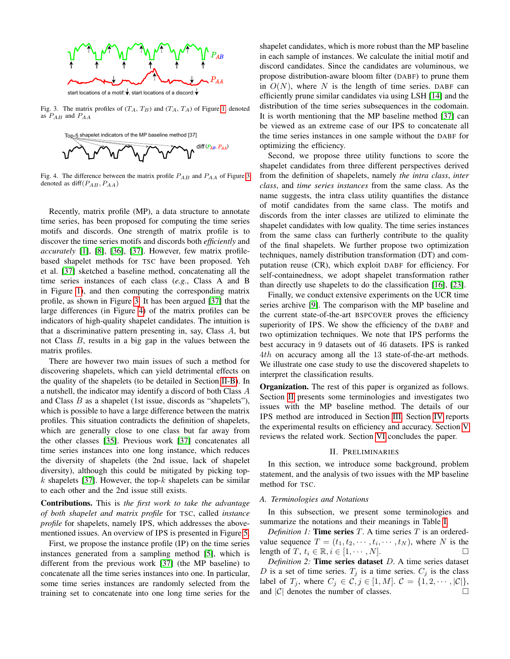

<span id="page-1-0"></span>Fig. 3. The matrix profiles of  $(T_A, T_B)$  and  $(T_A, T_A)$  of Figure [1,](#page-0-0) denoted as  $P_{AB}$  and  $P_{AA}$ 



<span id="page-1-1"></span>Fig. 4. The difference between the matrix profile  $P_{AB}$  and  $P_{AA}$  of Figure [3](#page-1-0) denoted as  $\text{diff}(P_{AB}, P_{AA})$ 

Recently, matrix profile (MP), a data structure to annotate time series, has been proposed for computing the time series motifs and discords. One strength of matrix profile is to discover the time series motifs and discords both *efficiently* and *accurately* [\[1\]](#page-12-13), [\[8\]](#page-12-14), [\[36\]](#page-12-15), [\[37\]](#page-12-16). However, few matrix profilebased shapelet methods for TSC have been proposed. Yeh et al. [\[37\]](#page-12-16) sketched a baseline method, concatenating all the time series instances of each class (*e.g.*, Class A and B in Figure [1\)](#page-0-0), and then computing the corresponding matrix profile, as shown in Figure [3.](#page-1-0) It has been argued [\[37\]](#page-12-16) that the large differences (in Figure [4\)](#page-1-1) of the matrix profiles can be indicators of high-quality shapelet candidates. The intuition is that a discriminative pattern presenting in, say, Class A, but not Class B, results in a big gap in the values between the matrix profiles.

There are however two main issues of such a method for discovering shapelets, which can yield detrimental effects on the quality of the shapelets (to be detailed in Section [II-B\)](#page-2-0). In a nutshell, the indicator may identify a discord of both Class A and Class B as a shapelet (1st issue, discords as "shapelets"), which is possible to have a large difference between the matrix profiles. This situation contradicts the definition of shapelets, which are generally close to one class but far away from the other classes [\[35\]](#page-12-6). Previous work [\[37\]](#page-12-16) concatenates all time series instances into one long instance, which reduces the diversity of shapelets (the 2nd issue, lack of shapelet diversity), although this could be mitigated by picking top-k shapelets [\[37\]](#page-12-16). However, the top- $k$  shapelets can be similar to each other and the 2nd issue still exists.

Contributions. This is *the first work to take the advantage of both shapelet and matrix profile* for TSC, called *instance profile* for shapelets, namely IPS, which addresses the abovementioned issues. An overview of IPS is presented in Figure [5.](#page-2-1)

First, we propose the instance profile (IP) on the time series instances generated from a sampling method [\[5\]](#page-12-17), which is different from the previous work [\[37\]](#page-12-16) (the MP baseline) to concatenate all the time series instances into one. In particular, some time series instances are randomly selected from the training set to concatenate into one long time series for the

shapelet candidates, which is more robust than the MP baseline in each sample of instances. We calculate the initial motif and discord candidates. Since the candidates are voluminous, we propose distribution-aware bloom filter (DABF) to prune them in  $O(N)$ , where N is the length of time series. DABF can efficiently prune similar candidates via using LSH [\[14\]](#page-12-18) and the distribution of the time series subsequences in the codomain. It is worth mentioning that the MP baseline method [\[37\]](#page-12-16) can be viewed as an extreme case of our IPS to concatenate all the time series instances in one sample without the DABF for optimizing the efficiency.

Second, we propose three utility functions to score the shapelet candidates from three different perspectives derived from the definition of shapelets, namely *the intra class*, *inter class*, and *time series instances* from the same class. As the name suggests, the intra class utility quantifies the distance of motif candidates from the same class. The motifs and discords from the inter classes are utilized to eliminate the shapelet candidates with low quality. The time series instances from the same class can furtherly contribute to the quality of the final shapelets. We further propose two optimization techniques, namely distribution transformation (DT) and computation reuse (CR), which exploit DABF for efficiency. For self-containedness, we adopt shapelet transformation rather than directly use shapelets to do the classification [\[16\]](#page-12-8), [\[23\]](#page-12-9).

Finally, we conduct extensive experiments on the UCR time series archive [\[9\]](#page-12-11). The comparison with the MP baseline and the current state-of-the-art BSPCOVER proves the efficiency superiority of IPS. We show the efficiency of the DABF and two optimization techniques. We note that IPS performs the best accuracy in 9 datasets out of 46 datasets. IPS is ranked 4th on accuracy among all the 13 state-of-the-art methods. We illustrate one case study to use the discovered shapelets to interpret the classification results.

**Organization.** The rest of this paper is organized as follows. Section [II](#page-1-2) presents some terminologies and investigates two issues with the MP baseline method. The details of our IPS method are introduced in Section [III.](#page-3-0) Section [IV](#page-7-0) reports the experimental results on efficiency and accuracy. Section [V](#page-11-0) reviews the related work. Section [VI](#page-11-1) concludes the paper.

#### II. PRELIMINARIES

<span id="page-1-2"></span>In this section, we introduce some background, problem statement, and the analysis of two issues with the MP baseline method for TSC.

#### *A. Terminologies and Notations*

In this subsection, we present some terminologies and summarize the notations and their meanings in Table [I.](#page-2-2)

*Definition 1:* **Time series**  $T$ . A time series  $T$  is an orderedvalue sequence  $T = (t_1, t_2, \dots, t_i, \dots, t_N)$ , where N is the length of  $T, t_i \in \mathbb{R}, i \in [1, \cdots, N].$ 

*Definition 2:* Time series dataset D. A time series dataset D is a set of time series.  $T_j$  is a time series.  $C_j$  is the class label of  $T_j$ , where  $C_j \in \mathcal{C}, j \in [1, M]$ .  $\mathcal{C} = \{1, 2, \cdots, |\mathcal{C}|\},$ and  $|C|$  denotes the number of classes.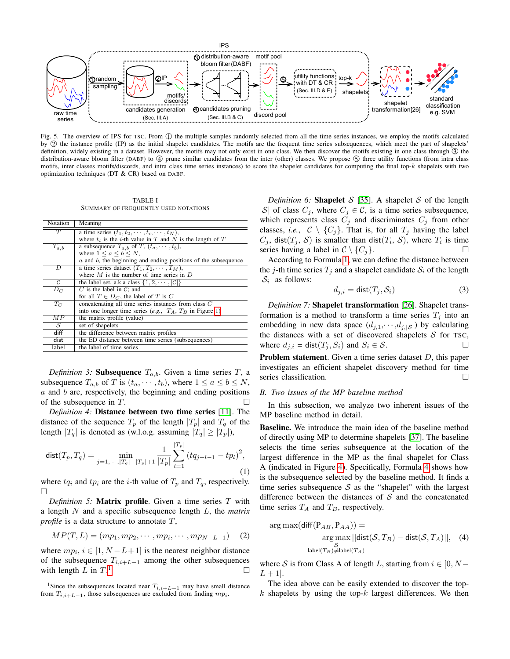

<span id="page-2-1"></span>Fig. 5. The overview of IPS for TSC. From  $\mathbb D$  the multiple samples randomly selected from all the time series instances, we employ the motifs calculated by 2 the instance profile (IP) as the initial shapelet candidates. The motifs are the frequent time series subsequences, which meet the part of shapelets' definition, widely existing in a dataset. However, the motifs may not only exist in one class. We then discover the motifs existing in one class through  $\circled{3}$  the distribution-aware bloom filter (DABF) to  $\oplus$  prune similar candidates from the inter (other) classes. We propose  $\circledS$  three utility functions (from intra class motifs, inter classes motifs/discords, and intra class time series instances) to score the shapelet candidates for computing the final top-k shapelets with two optimization techniques (DT & CR) based on DABF.

TABLE I SUMMARY OF FREQUENTLY USED NOTATIONS

<span id="page-2-2"></span>

| Notation       | Meaning                                                             |
|----------------|---------------------------------------------------------------------|
| $\overline{T}$ | a time series $(t_1, t_2, \cdots, t_i, \cdots, t_N)$ ,              |
|                | where $t_i$ is the <i>i</i> -th value in T and N is the length of T |
| $T_{a,b}$      | a subsequence $T_{a,b}$ of T, $(t_a, \dots, t_b)$ ,                 |
|                | where $1 \leq a \leq b \leq N$ ,                                    |
|                | $a$ and $b$ , the beginning and ending positions of the subsequence |
| D              | a time series dataset $(T_1, T_2, \cdots, T_M)$ ,                   |
|                | where $M$ is the number of time series in $D$                       |
| C              | the label set, a.k.a class $\{1, 2, \cdots,  \mathcal{C} \}$        |
| $D_C$          | C is the label in C; and                                            |
|                | for all $T \in D_C$ , the label of T is C                           |
| $T_C$          | concatenating all time series instances from class C                |
|                | into one longer time series (e.g., $T_A$ , $T_B$ in Figure 1)       |
| M P            | the matrix profile (value)                                          |
| S              | set of shapelets                                                    |
| diff           | the difference between matrix profiles                              |
| dist           | the ED distance between time series (subsequences)                  |
| label          | the label of time series                                            |

*Definition 3:* **Subsequence**  $T_{a,b}$ . Given a time series  $T$ , a subsequence  $T_{a,b}$  of T is  $(t_a, \dots, t_b)$ , where  $1 \le a \le b \le N$ ,  $a$  and  $b$  are, respectively, the beginning and ending positions of the subsequence in T.

*Definition 4:* Distance between two time series [\[11\]](#page-12-7). The distance of the sequence  $T_p$  of the length  $|T_p|$  and  $T_q$  of the length  $|T_q|$  is denoted as (w.l.o.g. assuming  $|T_q| \ge |T_p|$ ),

<span id="page-2-4"></span>
$$
\text{dist}(T_p, T_q) = \min_{j=1,\cdots, |T_q| - |T_p| + 1} \frac{1}{|T_p|} \sum_{l=1}^{|T_p|} (tq_{j+l-1} - tp_l)^2,
$$
\n(1)

where  $tq_i$  and  $tp_i$  are the *i*-th value of  $T_p$  and  $T_q$ , respectively.  $\Box$ 

*Definition 5:* Matrix profile. Given a time series T with a length N and a specific subsequence length L, the *matrix profile* is a data structure to annotate T,

$$
MP(T, L) = (mp_1, mp_2, \cdots, mp_i, \cdots, mp_{N-L+1}) \quad (2)
$$

where  $mp_i$ ,  $i \in [1, N - L + 1]$  is the nearest neighbor distance of the subsequence  $T_{i,i+L-1}$  among the other subsequences with length  $L$  in  $T<sup>1</sup>$ .  $\Box$ 

*Definition 6:* **Shapelet**  $S$  [\[35\]](#page-12-6). A shapelet  $S$  of the length |S| of class  $C_j$ , where  $C_j \in \mathcal{C}$ , is a time series subsequence, which represents class  $C_j$  and discriminates  $C_j$  from other classes, *i.e.*,  $C \setminus \{C_j\}$ . That is, for all  $T_j$  having the label  $C_j$ , dist $(T_j, \mathcal{S})$  is smaller than dist $(T_i, \mathcal{S})$ , where  $T_i$  is time series having a label in  $C \setminus \{C_i\}.$ 

According to Formula [1,](#page-2-4) we can define the distance between the j-th time series  $T_j$  and a shapelet candidate  $S_i$  of the length  $|\mathcal{S}_i|$  as follows:

$$
d_{j,i} = \text{dist}(T_j, \mathcal{S}_i) \tag{3}
$$

*Definition 7:* Shapelet transformation [\[26\]](#page-12-10). Shapelet transformation is a method to transform a time series  $T_j$  into an embedding in new data space  $(d_{j,1}, \dots, d_{j,|\mathcal{S}|})$  by calculating the distances with a set of discovered shapelets  $S$  for TSC, where  $d_{j,i} = \text{dist}(T_j, S_i)$  and  $S_i \in \mathcal{S}$ .

Problem statement. Given a time series dataset D, this paper investigates an efficient shapelet discovery method for time series classification.

# <span id="page-2-0"></span>*B. Two issues of the MP baseline method*

In this subsection, we analyze two inherent issues of the MP baseline method in detail.

Baseline. We introduce the main idea of the baseline method of directly using MP to determine shapelets [\[37\]](#page-12-16). The baseline selects the time series subsequence at the location of the largest difference in the MP as the final shapelet for Class A (indicated in Figure [4\)](#page-1-1). Specifically, Formula [4](#page-2-5) shows how is the subsequence selected by the baseline method. It finds a time series subsequence  $S$  as the "shapelet" with the largest difference between the distances of  $S$  and the concatenated time series  $T_A$  and  $T_B$ , respectively.

<span id="page-2-5"></span>
$$
\arg \max(\text{diff}(P_{AB}, P_{AA})) =
$$
  
\n
$$
\arg \max_{\mathcal{S}} ||\text{dist}(\mathcal{S}, T_B) - \text{dist}(\mathcal{S}, T_A)||, \quad (4)
$$
  
\n
$$
\text{label}(T_B) \neq \text{label}(T_A)
$$

where S is from Class A of length L, starting from  $i \in [0, N - 1]$  $L + 1$ .

The idea above can be easily extended to discover the top $k$  shapelets by using the top- $k$  largest differences. We then

<span id="page-2-3"></span><sup>&</sup>lt;sup>1</sup>Since the subsequences located near  $T_{i,i+L-1}$  may have small distance from  $T_{i,i+L-1}$ , those subsequences are excluded from finding  $mp_i$ .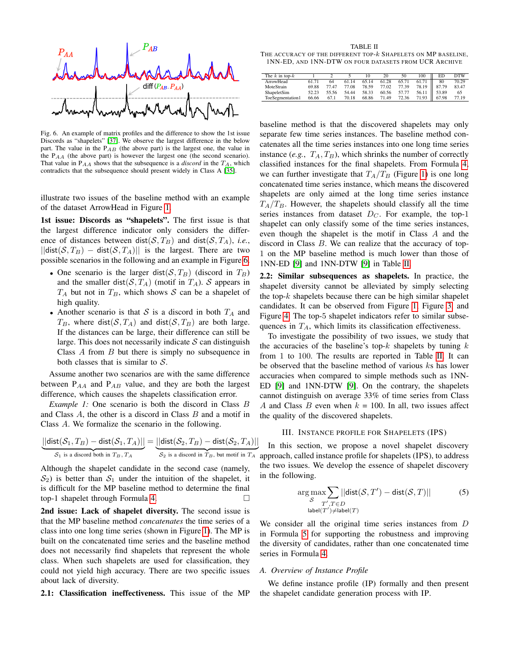

<span id="page-3-1"></span>Fig. 6. An example of matrix profiles and the difference to show the 1st issue Discords as "shapelets" [\[37\]](#page-12-16). We observe the largest difference in the below part. The value in the  $P_{AB}$  (the above part) is the largest one, the value in the  $P_{AA}$  (the above part) is however the largest one (the second scenario). That value in  $P_{AA}$  shows that the subsequence is a *discord* in the  $T_A$ , which contradicts that the subsequence should present widely in Class A [\[35\]](#page-12-6).

illustrate two issues of the baseline method with an example of the dataset ArrowHead in Figure [1.](#page-0-0)

1st issue: Discords as "shapelets". The first issue is that the largest difference indicator only considers the difference of distances between dist( $S, T_B$ ) and dist( $S, T_A$ ), *i.e.*,  $||dist(\mathcal{S}, T_B) - dist(\mathcal{S}, T_A)||$  is the largest. There are two possible scenarios in the following and an example in Figure [6.](#page-3-1)

- One scenario is the larger dist( $S, T_B$ ) (discord in  $T_B$ ) and the smaller dist( $S$ ,  $T_A$ ) (motif in  $T_A$ ). S appears in  $T_A$  but not in  $T_B$ , which shows S can be a shapelet of high quality.
- Another scenario is that S is a discord in both  $T_A$  and  $T_B$ , where dist $(S, T_A)$  and dist $(S, T_B)$  are both large. If the distances can be large, their difference can still be large. This does not necessarily indicate  $S$  can distinguish Class  $A$  from  $B$  but there is simply no subsequence in both classes that is similar to  $S$ .

Assume another two scenarios are with the same difference between  $P_{AA}$  and  $P_{AB}$  value, and they are both the largest difference, which causes the shapelets classification error.

<span id="page-3-4"></span>*Example 1:* One scenario is both the discord in Class B and Class A, the other is a discord in Class B and a motif in Class A. We formalize the scenario in the following.

$$
\underbrace{||\text{dist}(\mathcal{S}_1, T_B) - \text{dist}(\mathcal{S}_1, T_A)||}_{\mathcal{S}_1 \text{ is a discord both in } T_B, T_A} = \underbrace{||\text{dist}(\mathcal{S}_2, T_B) - \text{dist}(\mathcal{S}_2, T_A)||}_{\mathcal{S}_2 \text{ is a discord in } T_B, \text{ but motif in } T_A}
$$

Although the shapelet candidate in the second case (namely,  $S_2$ ) is better than  $S_1$  under the intuition of the shapelet, it is difficult for the MP baseline method to determine the final top-1 shapelet through Formula [4.](#page-2-5)

2nd issue: Lack of shapelet diversity. The second issue is that the MP baseline method *concatenates* the time series of a class into one long time series (shown in Figure [1\)](#page-0-0). The MP is built on the concatenated time series and the baseline method does not necessarily find shapelets that represent the whole class. When such shapelets are used for classification, they could not yield high accuracy. There are two specific issues about lack of diversity.

2.1: Classification ineffectiveness. This issue of the MP

<span id="page-3-2"></span>TABLE II THE ACCURACY OF THE DIFFERENT TOP- $k$  SHAPELETS ON MP BASELINE, 1NN-ED, AND 1NN-DTW ON FOUR DATASETS FROM UCR ARCHIVE

| The $k$ in top- $k$ |       |       |       | 10    | 20    | 50    | 100   | ED    | <b>DTW</b> |
|---------------------|-------|-------|-------|-------|-------|-------|-------|-------|------------|
| <b>ArrowHead</b>    | 61.71 | 64    | 61.14 | 65.14 | 61.28 | 65.71 | 61.71 | 80    | 70.29      |
| MoteStrain          | 69.88 | 77.47 | 77.08 | 78.59 | 77.02 | 77.39 | 78.19 | 87.79 | 83.47      |
| ShapeletSim         | 52.23 | 55.56 | 54.44 | 58.33 | 60.56 | 57.77 | 56.11 | 53.89 | 65         |
| ToeSegmentation1    | 66.66 | 67.1  | 70.18 | 68.86 | 71.49 | 72.36 | 71.93 | 67.98 | 77.19      |

baseline method is that the discovered shapelets may only separate few time series instances. The baseline method concatenates all the time series instances into one long time series instance (*e.g.*,  $T_A$ ,  $T_B$ ), which shrinks the number of correctly classified instances for the final shapelets. From Formula [4,](#page-2-5) we can further investigate that  $T_A/T_B$  (Figure [1\)](#page-0-0) is one long concatenated time series instance, which means the discovered shapelets are only aimed at the long time series instance  $T_A/T_B$ . However, the shapelets should classify all the time series instances from dataset  $D<sub>C</sub>$ . For example, the top-1 shapelet can only classify some of the time series instances, even though the shapelet is the motif in Class A and the discord in Class B. We can realize that the accuracy of top-1 on the MP baseline method is much lower than those of 1NN-ED [\[9\]](#page-12-11) and 1NN-DTW [\[9\]](#page-12-11) in Table [II.](#page-3-2)

2.2: Similar subsequences as shapelets. In practice, the shapelet diversity cannot be alleviated by simply selecting the top- $k$  shapelets because there can be high similar shapelet candidates. It can be observed from Figure [1,](#page-0-0) Figure [3,](#page-1-0) and Figure [4.](#page-1-1) The top-5 shapelet indicators refer to similar subsequences in  $T_A$ , which limits its classification effectiveness.

To investigate the possibility of two issues, we study that the accuracies of the baseline's top- $k$  shapelets by tuning  $k$ from 1 to 100. The results are reported in Table [II.](#page-3-2) It can be observed that the baseline method of various ks has lower accuracies when compared to simple methods such as 1NN-ED [\[9\]](#page-12-11) and 1NN-DTW [\[9\]](#page-12-11). On the contrary, the shapelets cannot distinguish on average 33% of time series from Class A and Class B even when  $k = 100$ . In all, two issues affect the quality of the discovered shapelets.

#### III. INSTANCE PROFILE FOR SHAPELETS (IPS)

<span id="page-3-0"></span>In this section, we propose a novel shapelet discovery approach, called instance profile for shapelets (IPS), to address the two issues. We develop the essence of shapelet discovery in the following.

<span id="page-3-3"></span>
$$
\underset{\substack{S \ T', T \in D \\ |\text{label}(T') \neq |\text{label}(T)}}{\arg \max} \sum_{T', T \in D} ||\text{dist}(\mathcal{S}, T') - \text{dist}(\mathcal{S}, T)|| \tag{5}
$$

We consider all the original time series instances from D in Formula [5](#page-3-3) for supporting the robustness and improving the diversity of candidates, rather than one concatenated time series in Formula [4.](#page-2-5)

#### *A. Overview of Instance Profile*

We define instance profile (IP) formally and then present the shapelet candidate generation process with IP.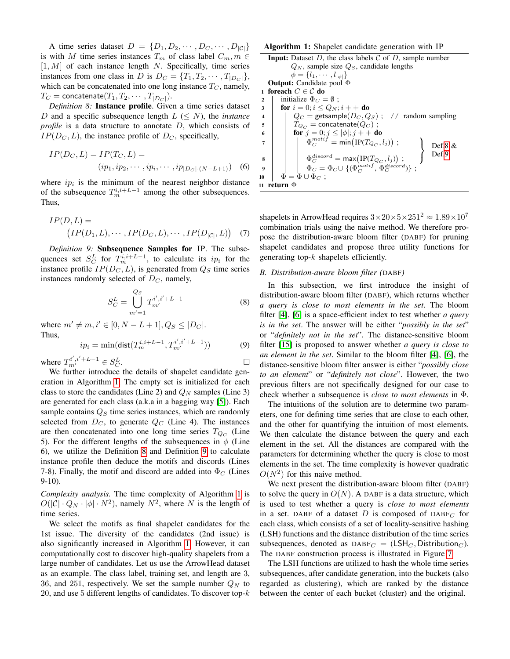A time series dataset  $D = \{D_1, D_2, \cdots, D_C, \cdots, D_{|\mathcal{C}|}\}\$ is with M time series instances  $T_m$  of class label  $C_m, m \in$  $[1, M]$  of each instance length N. Specifically, time series instances from one class in D is  $D_C = \{T_1, T_2, \cdots, T_{|D_C|}\},\$ which can be concatenated into one long instance  $T_C$ , namely,  $T_C = \text{concatenate}(T_1, T_2, \cdots, T_{|D_C|}).$ 

<span id="page-4-1"></span>*Definition 8:* Instance profile. Given a time series dataset D and a specific subsequence length  $L \leq N$ , the *instance profile* is a data structure to annotate D, which consists of  $IP(D_C, L)$ , the instance profile of  $D_C$ , specifically,

$$
IP(D_C, L) = IP(T_C, L) =
$$
  
(ip<sub>1</sub>, ip<sub>2</sub>, ··· , ip<sub>i</sub>, ··· , ip<sub>|D\_C|</sub>.(N–L+1)) (6)

where  $ip_i$  is the minimum of the nearest neighbor distance of the subsequence  $T_m^{i,i+L-1}$  among the other subsequences. Thus,

$$
IP(D, L) = (IP(D_1, L), \cdots, IP(D_C, L), \cdots, IP(D_{|C|}, L)) \quad (7)
$$

<span id="page-4-2"></span>*Definition 9:* Subsequence Samples for IP. The subsequences set  $S_C^L$  for  $T_m^{i,i+L-1}$ , to calculate its  $ip_i$  for the instance profile  $IP(D_C, L)$ , is generated from  $Q_S$  time series instances randomly selected of  $D_C$ , namely,

$$
S_C^L = \bigcup_{m'=1}^{Q_S} T_{m'}^{i',i'+L-1} \tag{8}
$$

where  $m' \neq m, i' \in [0, N - L + 1], Q_S \leq |D_C|$ . Thus,

$$
ip_i = \min(\text{dist}(T_m^{i,i+L-1}, T_{m'}^{i',i'+L-1}))
$$
 (9)

where  $T_{m'}^{i',i'+L-1} \in S_C^L$  $\overline{C}$ .

We further introduce the details of shapelet candidate generation in Algorithm [1.](#page-4-0) The empty set is initialized for each class to store the candidates (Line 2) and  $Q_N$  samples (Line 3) are generated for each class (a.k.a in a bagging way [\[5\]](#page-12-17)). Each sample contains  $Q_S$  time series instances, which are randomly selected from  $D_C$ , to generate  $Q_C$  (Line 4). The instances are then concatenated into one long time series  $T_{Q_C}$  (Line 5). For the different lengths of the subsequences in  $\phi$  (Line 6), we utilize the Definition [8](#page-4-1) and Definition [9](#page-4-2) to calculate instance profile then deduce the motifs and discords (Lines 7-8). Finally, the motif and discord are added into  $\Phi_C$  (Lines 9-10).

*Complexity analysis.* The time complexity of Algorithm [1](#page-4-0) is  $O(|C| \cdot Q_N \cdot |\phi| \cdot N^2)$ , namely  $N^2$ , where N is the length of time series.

We select the motifs as final shapelet candidates for the 1st issue. The diversity of the candidates (2nd issue) is also significantly increased in Algorithm [1.](#page-4-0) However, it can computationally cost to discover high-quality shapelets from a large number of candidates. Let us use the ArrowHead dataset as an example. The class label, training set, and length are 3, 36, and 251, respectively. We set the sample number  $Q_N$  to 20, and use 5 different lengths of candidates. To discover top- $k$ 

Algorithm 1: Shapelet candidate generation with IP

```
Input: Dataset D, the class labels C of D, sample number
                Q_N, sample size Q_S, candidate lengths
                \phi = \{l_1, \cdots, l_{|\phi|}\}\Output: Candidate pool Φ
 1 foreach C \in \mathcal{C} do
 2 | initialize \Phi_C = \emptyset;
 3 for i = 0; i \le Q_N; i + + do
 4 | Q_C = getsample(D_C, Q_S); // random sampling
 \mathsf{s} | T_{Q_C} = concatenate(Q_C);
  6 for j = 0; j \le |\phi|; j + + do
  \begin{array}{cc} \pi & | & | & \Phi_C^{motif} = \mathsf{min}\big(\mathrm{IP}(T_{Q_C},l_j)\big) \; ; \end{array}\mathcal{L}\mathcal{L}\mathsf{I}Def.8 &
                                                                                        Def.9
  \begin{array}{ccccc} \mathbf{s} & & \end{array} & \left. \begin{array}{c} & \Phi_C^{discord} = \mathsf{max}\big(\text{IP}(T_{Q_C},l_j)\big) \end{array} \right.,\begin{array}{cc} \mathfrak{g} & \quad \big| \quad & \big| \quad \Phi_C = \Phi_C \cup \{(\Phi_C^{motif}, \, \Phi_C^{discord})\} \; ; \end{array}10 \Phi = \Phi \cup \Phi_C;
11 return Φ
```
<span id="page-4-0"></span>shapelets in ArrowHead requires  $3\times20\times5\times251^2 \approx 1.89\times10^7$ combination trials using the naive method. We therefore propose the distribution-aware bloom filter (DABF) for pruning shapelet candidates and propose three utility functions for generating top- $k$  shapelets efficiently.

# *B. Distribution-aware bloom filter (*DABF*)*

In this subsection, we first introduce the insight of distribution-aware bloom filter (DABF), which returns whether *a query is close to most elements in the set*. The bloom filter [\[4\]](#page-12-19), [\[6\]](#page-12-20) is a space-efficient index to test whether *a query is in the set*. The answer will be either "*possibly in the set*" or "*definitely not in the set*". The distance-sensitive bloom filter [\[15\]](#page-12-21) is proposed to answer whether *a query is close to an element in the set*. Similar to the bloom filter [\[4\]](#page-12-19), [\[6\]](#page-12-20), the distance-sensitive bloom filter answer is either "*possibly close to an element*" or "*definitely not close*". However, the two previous filters are not specifically designed for our case to check whether a subsequence is *close to most elements* in Φ.

The intuitions of the solution are to determine two parameters, one for defining time series that are close to each other, and the other for quantifying the intuition of most elements. We then calculate the distance between the query and each element in the set. All the distances are compared with the parameters for determining whether the query is close to most elements in the set. The time complexity is however quadratic  $O(N^2)$  for this naive method.

We next present the distribution-aware bloom filter (DABF) to solve the query in  $O(N)$ . A DABF is a data structure, which is used to test whether a query is *close to most elements* in a set. DABF of a dataset D is composed of DABF<sub>C</sub> for each class, which consists of a set of locality-sensitive hashing (LSH) functions and the distance distribution of the time series subsequences, denoted as  $DABF_C = (LSH_C, Distribution_C)$ . The DABF construction process is illustrated in Figure [7.](#page-5-0)

The LSH functions are utilized to hash the whole time series subsequences, after candidate generation, into the buckets (also regarded as clustering), which are ranked by the distance between the center of each bucket (cluster) and the original.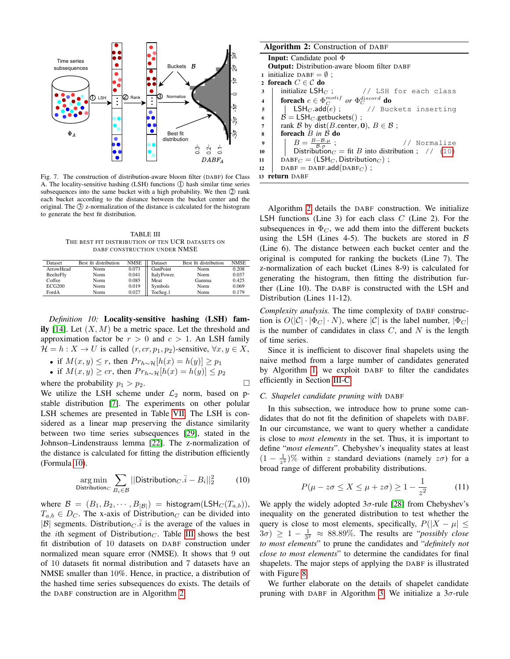

<span id="page-5-0"></span>Fig. 7. The construction of distribution-aware bloom filter (DABF) for Class A. The locality-sensitive hashing (LSH) functions  $\langle \rangle$  hash similar time series subsequences into the same bucket with a high probability. We then  $Q$  rank each bucket according to the distance between the bucket center and the original. The 3 z-normalization of the distance is calculated for the histogram to generate the best fit distribution.

TABLE III THE BEST FIT DISTRIBUTION OF TEN UCR DATASETS ON DABF CONSTRUCTION UNDER NMSE

<span id="page-5-2"></span>

| Dataset          | Best fit distribution | <b>NMSE</b> | Dataset     | Best fit distribution | <b>NMSE</b> |
|------------------|-----------------------|-------------|-------------|-----------------------|-------------|
| <b>ArrowHead</b> | Norm                  | 0.073       | GunPoint    | Norm                  | 0.208       |
| BeelteFly        | Norm                  | 0.041       | ItalyPower. | Norm                  | 0.037       |
| Coffee           | Norm                  | 0.085       | Meat        | Gamma                 | 0.425       |
| ECG200           | Norm                  | 0.019       | Symbols     | Norm                  | 0.069       |
| FordA            | Norm                  | 0.027       | ToeSeg.1    | Norm                  | 0.179       |

*Definition 10:* Locality-sensitive hashing (LSH) fam-ily [\[14\]](#page-12-18). Let  $(X, M)$  be a metric space. Let the threshold and approximation factor be  $r > 0$  and  $c > 1$ . An LSH family  $\mathcal{H} = h : X \to U$  is called  $(r, cr, p_1, p_2)$ -sensitive,  $\forall x, y \in X$ ,

- if  $M(x, y) \leq r$ , then  $Pr_{h \sim H}[h(x) = h(y)] \geq p_1$
- if  $M(x, y) \geq c r$ , then  $Pr_{h \sim H}[h(x) = h(y)] \leq p_2$

where the probability  $p_1 > p_2$ .

We utilize the LSH scheme under  $\mathcal{L}_2$  norm, based on pstable distribution [\[7\]](#page-12-22). The experiments on other polular LSH schemes are presented in Table [VII.](#page-10-0) The LSH is considered as a linear map preserving the distance similarity between two time series subsequences [\[29\]](#page-12-23), stated in the Johnson–Lindenstrauss lemma [\[22\]](#page-12-24). The z-normalization of the distance is calculated for fitting the distribution efficiently (Formula [10\)](#page-5-1).

$$
\underset{\text{Distribution}_{C}}{\arg \min} \sum_{B_{i} \in \mathcal{B}} ||\text{Distribution}_{C}.\bar{i} - B_{i}||_{2}^{2} \tag{10}
$$

where  $\mathcal{B} = (B_1, B_2, \cdots, B_{|\mathcal{B}|}) =$  histogram(LSH<sub>C</sub>(T<sub>a,b</sub>)),  $T_{a,b} \in D_C$ . The x-axis of Distribution<sub>C</sub> can be divided into  $|\mathcal{B}|$  segments. Distribution *c* is the average of the values in the *i*th segment of Distribution<sub>C</sub>. Table [III](#page-5-2) shows the best fit distribution of 10 datasets on DABF construction under normalized mean square error (NMSE). It shows that 9 out of 10 datasets fit normal distribution and 7 datasets have an NMSE smaller than 10%. Hence, in practice, a distribution of the hashed time series subsequences do exists. The details of the DABF construction are in Algorithm [2.](#page-5-3)

|                         | <b>Algorithm 2:</b> Construction of DABF                                   |  |  |  |  |  |  |  |
|-------------------------|----------------------------------------------------------------------------|--|--|--|--|--|--|--|
|                         | <b>Input:</b> Candidate pool $\Phi$                                        |  |  |  |  |  |  |  |
|                         | <b>Output:</b> Distribution-aware bloom filter DABF                        |  |  |  |  |  |  |  |
|                         | 1 initialize DABF = $\emptyset$ ;                                          |  |  |  |  |  |  |  |
|                         | 2 foreach $C \in \mathcal{C}$ do                                           |  |  |  |  |  |  |  |
| 3                       | initialize $LSH_C$ : // LSH for each class                                 |  |  |  |  |  |  |  |
| $\overline{\mathbf{4}}$ | <b>for<br/>each</b> $e \in \Phi_C^{motif}$ or $\Phi_C^{discord}$ <b>do</b> |  |  |  |  |  |  |  |
| 5                       | $\mathsf{LSH}_{C}.\mathsf{add}(e)$ ; // Buckets inserting                  |  |  |  |  |  |  |  |
| 6                       | $B = LSH_C$ .getbuckets();                                                 |  |  |  |  |  |  |  |
| 7                       | rank B by dist(B.center, 0), $B \in \mathcal{B}$ ;                         |  |  |  |  |  |  |  |
| 8                       | foreach $B$ in $B$ do                                                      |  |  |  |  |  |  |  |
| $\boldsymbol{9}$        | $B=\frac{B-B.\mu}{B.\sigma}$ ;<br>// Normalize                             |  |  |  |  |  |  |  |
| 10                      | Distribution $C = \text{fit } B$ into distribution; // (10)                |  |  |  |  |  |  |  |
| 11                      | $DABF_C = (LSH_C, Distribution_C);$                                        |  |  |  |  |  |  |  |
| 12                      | $DABF = DABF.add(DABF_C)$ ;                                                |  |  |  |  |  |  |  |
| 13                      | return DABF                                                                |  |  |  |  |  |  |  |

<span id="page-5-3"></span>Algorithm [2](#page-5-3) details the DABF construction. We initialize LSH functions (Line 3) for each class  $C$  (Line 2). For the subsequences in  $\Phi_C$ , we add them into the different buckets using the LSH (Lines 4-5). The buckets are stored in  $\beta$ (Line 6). The distance between each bucket center and the original is computed for ranking the buckets (Line 7). The z-normalization of each bucket (Lines 8-9) is calculated for generating the histogram, then fitting the distribution further (Line 10). The DABF is constructed with the LSH and Distribution (Lines 11-12).

*Complexity analysis.* The time complexity of DABF construction is  $O(|\mathcal{C}| \cdot |\Phi_C| \cdot N)$ , where  $|\mathcal{C}|$  is the label number,  $|\Phi_C|$ is the number of candidates in class  $C$ , and  $N$  is the length of time series.

Since it is inefficient to discover final shapelets using the naive method from a large number of candidates generated by Algorithm [1,](#page-4-0) we exploit DABF to filter the candidates efficiently in Section [III-C.](#page-5-4)

#### <span id="page-5-4"></span>*C. Shapelet candidate pruning with* DABF

In this subsection, we introduce how to prune some candidates that do not fit the definition of shapelets with DABF. In our circumstance, we want to query whether a candidate is close to *most elements* in the set. Thus, it is important to define "*most elements*". Chebyshev's inequality states at least  $(1 - \frac{1}{z^2})\%$  within z standard deviations (namely  $z\sigma$ ) for a broad range of different probability distributions.

$$
P(\mu - z\sigma \le X \le \mu + z\sigma) \ge 1 - \frac{1}{z^2} \tag{11}
$$

<span id="page-5-1"></span>We apply the widely adopted  $3\sigma$ -rule [\[28\]](#page-12-25) from Chebyshev's inequality on the generated distribution to test whether the query is close to most elements, specifically,  $P(|X - \mu| \leq$  $3\sigma$ )  $\geq 1 - \frac{1}{3^2} \approx 88.89\%$ . The results are "*possibly close to most elements*" to prune the candidates and "*definitely not close to most elements*" to determine the candidates for final shapelets. The major steps of applying the DABF is illustrated with Figure [8.](#page-6-0)

We further elaborate on the details of shapelet candidate pruning with DABF in Algorithm [3.](#page-6-1) We initialize a  $3\sigma$ -rule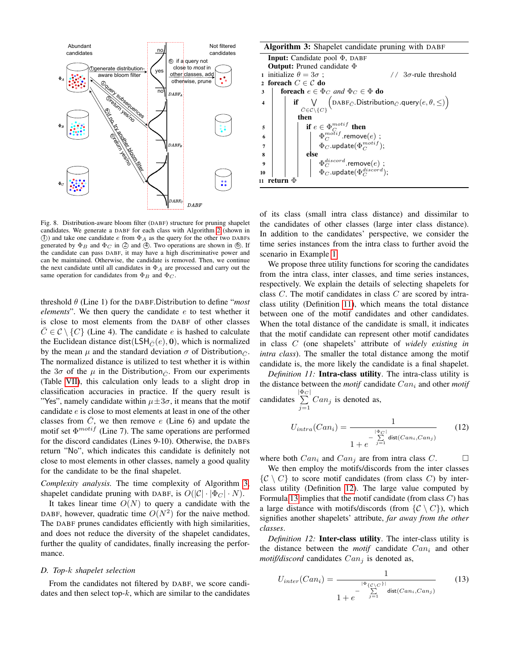

<span id="page-6-0"></span>Fig. 8. Distribution-aware bloom filter (DABF) structure for pruning shapelet candidates. We generate a DABF for each class with Algorithm [2](#page-5-3) (shown in (I)) and take one candidate  $e$  from  $\Phi_A$  as the query for the other two DABFs generated by  $\Phi_B$  and  $\Phi_C$  in  $\oslash$  and  $\spadesuit$ . Two operations are shown in  $\spadesuit$ . If the candidate can pass DABF, it may have a high discriminative power and can be maintained. Otherwise, the candidate is removed. Then, we continue the next candidate until all candidates in  $\Phi_A$  are processed and carry out the same operation for candidates from  $\Phi_B$  and  $\Phi_C$ .

threshold θ (Line 1) for the DABF.Distribution to define "*most elements*". We then query the candidate e to test whether it is close to most elements from the DABF of other classes  $\overline{C} \in \mathcal{C} \setminus \{C\}$  (Line 4). The candidate e is hashed to calculate the Euclidean distance dist(LSH $_{\bar{C}}(e)$ , 0), which is normalized by the mean  $\mu$  and the standard deviation  $\sigma$  of Distribution $\bar{\sigma}$ . The normalized distance is utilized to test whether it is within the  $3\sigma$  of the  $\mu$  in the Distribution  $\bar{c}$ . From our experiments (Table [VII\)](#page-10-0), this calculation only leads to a slight drop in classification accuracies in practice. If the query result is "Yes", namely candidate within  $\mu \pm 3\sigma$ , it means that the motif candidate e is close to most elements at least in one of the other classes from  $\overline{C}$ , we then remove  $e$  (Line 6) and update the motif set  $\Phi^{motif}$  (Line 7). The same operations are performed for the discord candidates (Lines 9-10). Otherwise, the DABFs return "No", which indicates this candidate is definitely not close to most elements in other classes, namely a good quality for the candidate to be the final shapelet.

*Complexity analysis.* The time complexity of Algorithm [3,](#page-6-1) shapelet candidate pruning with DABF, is  $O(|\mathcal{C}| \cdot |\Phi_C| \cdot N)$ .

It takes linear time  $O(N)$  to query a candidate with the DABF, however, quadratic time  $O(N^2)$  for the naive method. The DABF prunes candidates efficiently with high similarities, and does not reduce the diversity of the shapelet candidates, further the quality of candidates, finally increasing the performance.

## *D. Top-*k *shapelet selection*

From the candidates not filtered by DABF, we score candidates and then select top- $k$ , which are similar to the candidates

|                  | <b>Algorithm 3:</b> Shapelet candidate pruning with DABF                                                                                                                 |  |  |  |  |  |  |  |
|------------------|--------------------------------------------------------------------------------------------------------------------------------------------------------------------------|--|--|--|--|--|--|--|
|                  | <b>Input:</b> Candidate pool $\Phi$ , DABF                                                                                                                               |  |  |  |  |  |  |  |
|                  | <b>Output:</b> Pruned candidate $\Phi$                                                                                                                                   |  |  |  |  |  |  |  |
|                  | initialize $\theta = 3\sigma$ ;<br>$\frac{1}{2}$ 3 $\sigma$ -rule threshold                                                                                              |  |  |  |  |  |  |  |
|                  | foreach $C \in \mathcal{C}$ do                                                                                                                                           |  |  |  |  |  |  |  |
| 3                | <b>foreach</b> $e \in \Phi_C$ and $\Phi_C \in \Phi$ <b>do</b>                                                                                                            |  |  |  |  |  |  |  |
| 4                | $\textbf{if} \underset{\bar{C} \in \mathcal{C} \backslash \{C\}}{\bigvee} \Big( \text{DABF}_{\bar{C}}.\text{Distribution}_{\bar{C}}.\text{query}(e, \theta, \leq) \Big)$ |  |  |  |  |  |  |  |
|                  |                                                                                                                                                                          |  |  |  |  |  |  |  |
|                  | then                                                                                                                                                                     |  |  |  |  |  |  |  |
| 5                | if $e \in \Phi_C^{motif}$ then                                                                                                                                           |  |  |  |  |  |  |  |
| 6                | $\left \begin{array}{cc} \Phi_C^{moitif}.\mathsf{remove}(e)\mathrel{;}\\ \Phi_C.\mathsf{update}(\Phi_C^{motif}); \end{array}\right.$                                     |  |  |  |  |  |  |  |
| $\overline{7}$   |                                                                                                                                                                          |  |  |  |  |  |  |  |
| 8                | else                                                                                                                                                                     |  |  |  |  |  |  |  |
| $\boldsymbol{9}$ | $\Phi_C^{discord}$ .remove $(e)$ ;<br>$\Phi_C$ .update $(\Phi_C^{discord});$                                                                                             |  |  |  |  |  |  |  |
| 10               |                                                                                                                                                                          |  |  |  |  |  |  |  |
|                  | return $\Phi$                                                                                                                                                            |  |  |  |  |  |  |  |

<span id="page-6-1"></span>of its class (small intra class distance) and dissimilar to the candidates of other classes (large inter class distance). In addition to the candidates' perspective, we consider the time series instances from the intra class to further avoid the scenario in Example [1.](#page-3-4)

We propose three utility functions for scoring the candidates from the intra class, inter classes, and time series instances, respectively. We explain the details of selecting shapelets for class C. The motif candidates in class C are scored by intraclass utility (Definition [11\)](#page-6-2), which means the total distance between one of the motif candidates and other candidates. When the total distance of the candidate is small, it indicates that the motif candidate can represent other motif candidates in class C (one shapelets' attribute of *widely existing in intra class*). The smaller the total distance among the motif candidate is, the more likely the candidate is a final shapelet.

<span id="page-6-2"></span>*Definition 11:* Intra-class utility. The intra-class utility is the distance between the *motif* candidate  $Can<sub>i</sub>$  and other *motif* 

candidates  $\left|\frac{\Phi_C}{\sum}\right|$  $\sum_{j=1}$  Can<sub>j</sub> is denoted as,

<span id="page-6-5"></span>
$$
U_{intra}(Can_i) = \frac{1}{1 + e^{-\sum_{j=1}^{\lfloor \Phi_C \rfloor} \text{dist}(Can_i,Can_j)}}\tag{12}
$$

where both  $Can_i$  and  $Can_i$  are from intra class C.

We then employ the motifs/discords from the inter classes  $\{C \setminus C\}$  to score motif candidates (from class C) by interclass utility (Definition [12\)](#page-6-3). The large value computed by Formula [13](#page-6-4) implies that the motif candidate (from class  $C$ ) has a large distance with motifs/discords (from  $\{C \setminus C\}$ ), which signifies another shapelets' attribute, *far away from the other classes*.

<span id="page-6-3"></span>*Definition 12:* Inter-class utility. The inter-class utility is the distance between the *motif* candidate  $Can<sub>i</sub>$  and other  $motif/discord$  candidates  $Can_j$  is denoted as,

<span id="page-6-4"></span>
$$
U_{inter}(Can_{i}) = \frac{1}{1 + e^{-\sum_{j=1}^{\left|\Phi_{\{C\} \cap \{C\} \right|}} \text{dist}(Can_{i},Can_{j})}}
$$
(13)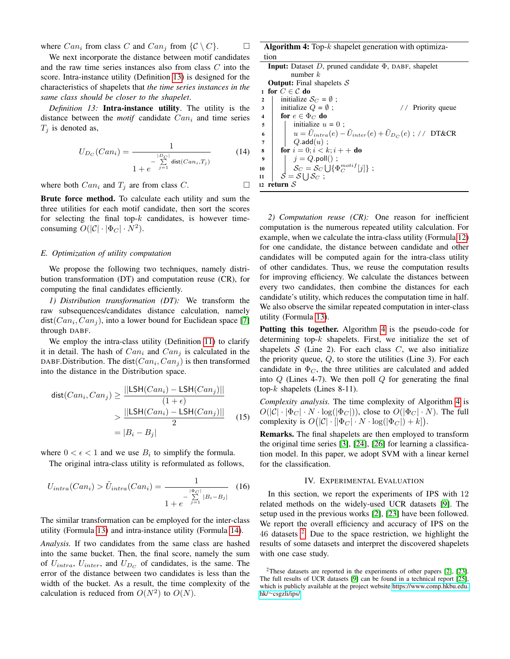where  $Can_i$  from class C and  $Can_i$  from  $\{\mathcal{C} \setminus C\}$ .

We next incorporate the distance between motif candidates and the raw time series instances also from class C into the score. Intra-instance utility (Definition [13\)](#page-7-1) is designed for the characteristics of shapelets that *the time series instances in the same class should be closer to the shapelet*.

<span id="page-7-1"></span>*Definition 13:* Intra-instance utility. The utility is the distance between the *motif* candidate  $Can<sub>i</sub>$  and time series  $T_i$  is denoted as,

<span id="page-7-2"></span>
$$
U_{D_C}(Can_i) = \frac{1}{1 + e^{-\sum_{j=1}^{|D_C|} \text{dist}(Can_i, T_j)}}
$$
(14)

where both  $Can_i$  and  $T_j$  are from class C.

Brute force method. To calculate each utility and sum the three utilities for each motif candidate, then sort the scores for selecting the final top- $k$  candidates, is however timeconsuming  $O(|C| \cdot |\Phi_C| \cdot N^2)$ .

## <span id="page-7-5"></span>*E. Optimization of utility computation*

We propose the following two techniques, namely distribution transformation (DT) and computation reuse (CR), for computing the final candidates efficiently.

*1) Distribution transformation (DT):* We transform the raw subsequences/candidates distance calculation, namely dist( $Can_i, Can_j$ ), into a lower bound for Euclidean space [\[7\]](#page-12-22) through DABF.

We employ the intra-class utility (Definition [11\)](#page-6-2) to clarify it in detail. The hash of  $Can_i$  and  $Can_j$  is calculated in the DABF. Distribution. The dist $(Can_i, Can_j)$  is then transformed into the distance in the Distribution space.

$$
dist(Can_i, Can_j) \ge \frac{||LSH(Can_i) - LSH(Can_j)||}{(1 + \epsilon)}
$$

$$
\ge \frac{||LSH(Can_i) - LSH(Can_j)||}{2}
$$

$$
= |B_i - B_j|
$$
(15)

where  $0 < \epsilon < 1$  and we use  $B_i$  to simplify the formula.

The original intra-class utility is reformulated as follows,

$$
U_{intra}(Can_i) > \tilde{U}_{intra}(Can_i) = \frac{1}{1 + e^{-\sum_{j=1}^{\lfloor \Phi_C \rfloor} |B_i - B_j|}}
$$
(16)

The similar transformation can be employed for the inter-class utility (Formula [13\)](#page-6-4) and intra-instance utility (Formula [14\)](#page-7-2).

*Analysis.* If two candidates from the same class are hashed into the same bucket. Then, the final score, namely the sum of  $U_{intra}$ ,  $U_{inter}$ , and  $U_{D_C}$  of candidates, is the same. The error of the distance between two candidates is less than the width of the bucket. As a result, the time complexity of the calculation is reduced from  $O(N^2)$  to  $O(N)$ .

Algorithm 4: Top- $k$  shapelet generation with optimization

| <b>Input:</b> Dataset D, pruned candidate $\Phi$ , DABF, shapelet                                    |
|------------------------------------------------------------------------------------------------------|
| number $k$                                                                                           |
| <b>Output:</b> Final shapelets $S$                                                                   |
| 1 for $C \in \mathcal{C}$ do                                                                         |
| initialize $S_C = \emptyset$ :<br>$\overline{2}$                                                     |
| initialize $Q = \emptyset$ ;<br>// Priority queue<br>3                                               |
| for $e \in \Phi_C$ do<br>$\overline{\mathbf{4}}$                                                     |
| initialize $u = 0$ ;<br>5                                                                            |
| $u = \tilde{U}_{intra}(e) - \tilde{U}_{inter}(e) + \tilde{U}_{D_C}(e)$ ; // DT&CR<br>6               |
| $Q$ .add $(u)$ ;<br>$\overline{7}$                                                                   |
| <b>for</b> $i = 0; i < k; i + +$ <b>do</b><br>8                                                      |
| $\boldsymbol{9}$                                                                                     |
| $j = Q.\mathsf{poll}()$ ;<br>$\mathcal{S}_C = \mathcal{S}_C \bigcup \{ \Phi_C^{motif}[j] \}$ ;<br>10 |
| $\mathcal{S} = \mathcal{S} \cup \mathcal{S}_C$ :<br>11                                               |
| 12 return $\cal S$                                                                                   |

<span id="page-7-3"></span>*2) Computation reuse (CR):* One reason for inefficient computation is the numerous repeated utility calculation. For example, when we calculate the intra-class utility (Formula [12\)](#page-6-5) for one candidate, the distance between candidate and other candidates will be computed again for the intra-class utility of other candidates. Thus, we reuse the computation results for improving efficiency. We calculate the distances between every two candidates, then combine the distances for each candidate's utility, which reduces the computation time in half. We also observe the similar repeated computation in inter-class utility (Formula [13\)](#page-6-4).

Putting this together. Algorithm [4](#page-7-3) is the pseudo-code for determining top- $k$  shapelets. First, we initialize the set of shapelets  $S$  (Line 2). For each class  $C$ , we also initialize the priority queue,  $Q$ , to store the utilities (Line 3). For each candidate in  $\Phi_C$ , the three utilities are calculated and added into  $Q$  (Lines 4-7). We then poll  $Q$  for generating the final top- $k$  shapelets (Lines 8-11).

*Complexity analysis.* The time complexity of Algorithm [4](#page-7-3) is  $O(|\mathcal{C}| \cdot |\Phi_C| \cdot N \cdot \log(|\Phi_C|))$ , close to  $O(|\Phi_C| \cdot N)$ . The full complexity is  $O(|C| \cdot [|\Phi_C| \cdot N \cdot \log(|\Phi_C|) + k]).$ 

Remarks. The final shapelets are then employed to transform the original time series [\[3\]](#page-12-26), [\[24\]](#page-12-12), [\[26\]](#page-12-10) for learning a classification model. In this paper, we adopt SVM with a linear kernel for the classification.

# IV. EXPERIMENTAL EVALUATION

<span id="page-7-0"></span>In this section, we report the experiments of IPS with 12 related methods on the widely-used UCR datasets [\[9\]](#page-12-11). The setup used in the previous works [\[2\]](#page-12-0), [\[23\]](#page-12-9) have been followed. We report the overall efficiency and accuracy of IPS on the  $46$  datasets  $2$ . Due to the space restriction, we highlight the results of some datasets and interpret the discovered shapelets with one case study.

<span id="page-7-4"></span><sup>&</sup>lt;sup>2</sup>These datasets are reported in the experiments of other papers [\[2\]](#page-12-0), [\[23\]](#page-12-9). The full results of UCR datasets [\[9\]](#page-12-11) can be found in a technical report [\[25\]](#page-12-27), which is publicly available at the project website [https://www.comp.hkbu.edu.](https://www.comp.hkbu.edu.hk/~csgzli/ips/) hk/∼[csgzli/ips/.](https://www.comp.hkbu.edu.hk/~csgzli/ips/)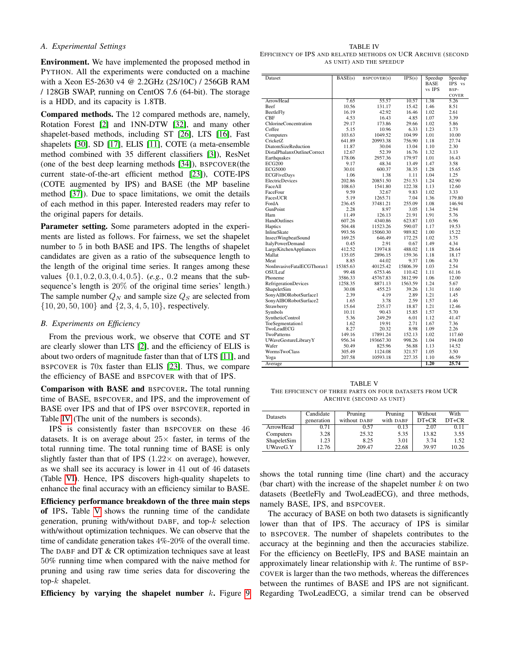## *A. Experimental Settings*

Environment. We have implemented the proposed method in PYTHON. All the experiments were conducted on a machine with a Xeon E5-2630 v4 @ 2.2GHz (2S/10C) / 256GB RAM / 128GB SWAP, running on CentOS 7.6 (64-bit). The storage is a HDD, and its capacity is 1.8TB.

Compared methods. The 12 compared methods are, namely, Rotation Forest [\[2\]](#page-12-0) and 1NN-DTW [\[32\]](#page-12-28), and many other shapelet-based methods, including ST [\[26\]](#page-12-10), LTS [\[16\]](#page-12-8), Fast shapelets [\[30\]](#page-12-29), SD [\[17\]](#page-12-30), ELIS [\[11\]](#page-12-7), COTE (a meta-ensemble method combined with 35 different classifiers [\[3\]](#page-12-26)), ResNet (one of the best deep learning methods [\[34\]](#page-12-31)), BSPCOVER(the current state-of-the-art efficient method [\[23\]](#page-12-9)), COTE-IPS (COTE augmented by IPS) and BASE (the MP baseline method [\[37\]](#page-12-16)). Due to space limitations, we omit the details of each method in this paper. Interested readers may refer to the original papers for details.

Parameter setting. Some parameters adopted in the experiments are listed as follows. For fairness, we set the shapelet number to 5 in both BASE and IPS. The lengths of shapelet candidates are given as a ratio of the subsequence length to the length of the original time series. It ranges among these values {0.1, 0.2, 0.3, 0.4, 0.5}. (*e.g.*, 0.2 means that the subsequence's length is 20% of the original time series' length.) The sample number  $Q_N$  and sample size  $Q_S$  are selected from  $\{10, 20, 50, 100\}$  and  $\{2, 3, 4, 5, 10\}$ , respectively.

## *B. Experiments on Efficiency*

From the previous work, we observe that COTE and ST are clearly slower than LTS [\[2\]](#page-12-0), and the efficiency of ELIS is about two orders of magnitude faster than that of LTS [\[11\]](#page-12-7), and BSPCOVER is 70x faster than ELIS [\[23\]](#page-12-9). Thus, we compare the efficiency of BASE and BSPCOVER with that of IPS.

Comparison with BASE and BSPCOVER. The total running time of BASE, BSPCOVER, and IPS, and the improvement of BASE over IPS and that of IPS over BSPCOVER, reported in Table [IV](#page-8-0) (The unit of the numbers is seconds).

IPS is consistently faster than BSPCOVER on these 46 datasets. It is on average about  $25\times$  faster, in terms of the total running time. The total running time of BASE is only slightly faster than that of IPS  $(1.22 \times$  on average), however, as we shall see its accuracy is lower in 41 out of 46 datasets (Table [VI\)](#page-10-1). Hence, IPS discovers high-quality shapelets to enhance the final accuracy with an efficiency similar to BASE.

Efficiency performance breakdown of the three main steps of IPS. Table [V](#page-8-1) shows the running time of the candidate generation, pruning with/without DABF, and top- $k$  selection with/without optimization techniques. We can observe that the time of candidate generation takes 4%-20% of the overall time. The DABF and DT & CR optimization techniques save at least 50% running time when compared with the naive method for pruning and using raw time series data for discovering the top-k shapelet.

Efficiency by varying the shapelet number  $k$ . Figure [9](#page-9-0)

<span id="page-8-0"></span>TABLE IV EFFICIENCY OF IPS AND RELATED METHODS ON UCR ARCHIVE (SECOND AS UNIT) AND THE SPEEDUP

| Dataset                        | BASE(s)  | BSPCOVER(s) | IPS(s)   | Speedup     | Speedup |
|--------------------------------|----------|-------------|----------|-------------|---------|
|                                |          |             |          | <b>BASE</b> | IPS vs  |
|                                |          |             |          | vs IPS      | BSP-    |
|                                |          |             |          |             | COVER   |
| <b>ArrowHead</b>               | 7.65     | 55.57       | 10.57    | 1.38        | 5.26    |
| <b>Beef</b>                    | 10.56    | 131.17      | 15.42    | 1.46        | 8.51    |
| BeetleFly                      | 16.19    | 42.92       | 16.46    | 1.02        | 2.61    |
| CBF                            | 4.53     | 16.43       | 4.85     | 1.07        | 3.39    |
| <b>ChlorineConcentration</b>   | 29.17    | 173.86      | 29.66    | 1.02        | 5.86    |
| Coffee                         | 5.15     | 10.96       | 6.33     | 1.23        | 1.73    |
| Computers                      | 103.63   | 1049.52     | 104.99   | 1.01        | 10.00   |
| CricketZ                       | 641.89   | 20993.38    | 756.90   | 1.18        | 27.74   |
| DiatomSizeReduction            | 11.87    | 30.04       | 13.04    | 1.10        | 2.30    |
| DistalPhalanxOutlineCorrect    | 12.67    | 52.39       | 16.76    | 1.32        | 3.13    |
| Earthquakes                    | 178.06   | 2957.36     | 179.97   | 1.01        | 16.43   |
| <b>ECG200</b>                  | 9.17     | 48.34       | 13.49    | 1.47        | 3.58    |
| <b>ECG5000</b>                 | 30.01    | 600.37      | 38.35    | 1.28        | 15.65   |
| <b>ECGFiveDays</b>             | 1.06     | 1.38        | 1.11     | 1.04        | 1.25    |
| <b>ElectricDevices</b>         | 202.86   | 20851.50    | 251.53   | 1.24        | 82.90   |
| FaceAll                        | 108.63   | 1541.80     | 122.38   | 1.13        | 12.60   |
| FaceFour                       | 9.59     | 32.67       | 9.83     | 1.02        | 3.33    |
| FacesUCR                       | 5.19     | 1265.71     | 7.04     | 1.36        | 179.80  |
| FordA                          | 236.45   | 37481.21    | 255.09   | 1.08        | 146.94  |
| GunPoint                       | 2.28     | 8.97        | 3.05     | 1.34        | 2.94    |
| Ham                            | 11.49    | 126.13      | 21.91    | 1.91        | 5.76    |
| HandOutlines                   | 607.26   | 4340.86     | 623.87   | 1.03        | 6.96    |
| Haptics                        | 504.48   | 11523.26    | 590.07   | 1.17        | 19.53   |
| InlineSkate                    | 993.56   | 15060.30    | 989.82   | 1.00        | 15.22   |
| <b>InsectWingbeatSound</b>     | 169.25   | 646.49      | 172.25   | 1.02        | 3.75    |
| ItalyPowerDemand               | 0.45     | 2.91        | 0.67     | 1.49        | 4.34    |
| <b>LargeKitchenAppliances</b>  | 412.52   | 13974.8     | 488.02   | 1.18        | 28.64   |
| Mallat                         | 135.05   | 2896.15     | 159.36   | 1.18        | 18.17   |
| Meat                           | 8.85     | 44.02       | 9.37     | 1.06        | 4.70    |
| NonInvasiveFatalECGThorax1     | 15385.63 | 40125.42    | 15806.39 | 1.03        | 2.54    |
| OSULeaf                        | 99.48    | 6753.46     | 110.42   | 1.11        | 61.16   |
| Phoneme                        | 3586.33  | 45767.83    | 3812.99  | 1.06        | 12.00   |
| <b>RefrigerationDevices</b>    | 1258.35  | 8871.13     | 1563.59  | 1.24        | 5.67    |
| ShapeletSim                    | 30.08    | 455.23      | 39.26    | 1.31        | 11.60   |
| SonyAIBORobotSurface1          | 2.39     | 4.19        | 2.89     | 1.21        | 1.45    |
| SonyAIBORobotSurface2          | 1.65     | 3.78        | 2.59     | 1.57        | 1.46    |
| Strawberry                     | 15.64    | 235.17      | 18.87    | 1.21        | 12.46   |
| Symbols                        | 10.11    | 90.43       | 15.85    | 1.57        | 5.70    |
| SyntheticControl               | 5.36     | 249.29      | 6.01     | 1.12        | 41.47   |
|                                | 1.62     | 19.91       | 2.71     | 1.67        | 7.36    |
| ToeSegmentation1<br>TwoLeadECG | 8.27     | 20.32       | 8.98     | 1.09        | 2.26    |
| TwoPatterns                    | 149.16   | 17891.24    | 152.13   | 1.02        | 117.60  |
|                                |          |             |          |             |         |
| UWaveGestureLibraryY           | 956.34   | 193667.30   | 998.26   | 1.04        | 194.00  |
| Wafer                          | 50.49    | 825.96      | 56.88    | 1.13        | 14.52   |
| <b>WormsTwoClass</b>           | 305.49   | 1124.08     | 321.57   | 1.05        | 3.50    |
| Yoga                           | 207.58   | 10593.18    | 227.35   | 1.10        | 46.59   |
| Average                        |          |             |          | 1.20        | 25.74   |

<span id="page-8-1"></span>TABLE V THE EFFICIENCY OF THREE PARTS ON FOUR DATASETS FROM UCR ARCHIVE (SECOND AS UNIT)

| Datasets    | Candidate<br>generation | Pruning<br>without DABF | Pruning<br>with DABF | Without<br>$DT+CR$ | With<br>$DT+CR$ |
|-------------|-------------------------|-------------------------|----------------------|--------------------|-----------------|
| ArrowHead   | 0.71                    | 0.57                    | 0.13                 | 2.07               | 0.11            |
| Computers   | 3.28                    | 25.32                   | 5.35                 | 13.82              | 3.55            |
| ShapeletSim | 1.23                    | 8.25                    | 3.01                 | 3.74               | 1.52            |
| UWaveG.Y    | 12.76                   | 209.47                  | 22.68                | 39.97              | 10.26           |

shows the total running time (line chart) and the accuracy (bar chart) with the increase of the shapelet number  $k$  on two datasets (BeetleFly and TwoLeadECG), and three methods, namely BASE, IPS, and BSPCOVER.

The accuracy of BASE on both two datasets is significantly lower than that of IPS. The accuracy of IPS is similar to BSPCOVER. The number of shapelets contributes to the accuracy at the beginning and then the accuracies stabilize. For the efficiency on BeetleFly, IPS and BASE maintain an approximately linear relationship with  $k$ . The runtime of BSP-COVER is larger than the two methods, whereas the differences between the runtimes of BASE and IPS are not significant. Regarding TwoLeadECG, a similar trend can be observed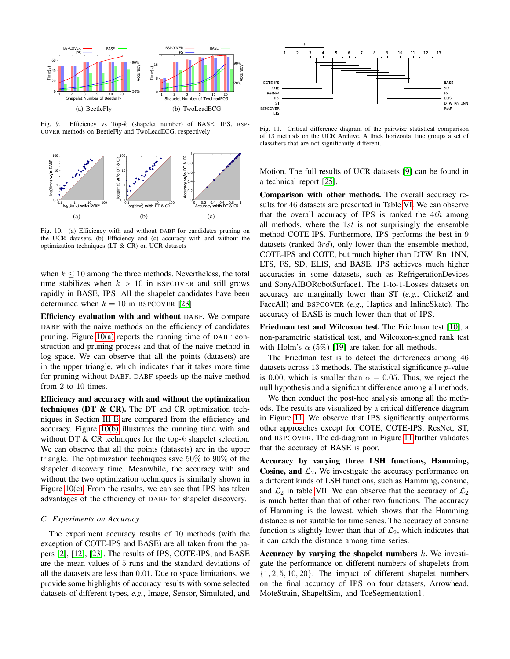

<span id="page-9-0"></span>Fig. 9. Efficiency vs Top-k (shapelet number) of BASE, IPS, BSP-COVER methods on BeetleFly and TwoLeadECG, respectively

<span id="page-9-1"></span>

<span id="page-9-2"></span>Fig. 10. (a) Efficiency with and without DABF for candidates pruning on the UCR datasets. (b) Efficiency and (c) accuracy with and without the optimization techniques (LT & CR) on UCR datasets

when  $k \leq 10$  among the three methods. Nevertheless, the total time stabilizes when  $k > 10$  in BSPCOVER and still grows rapidly in BASE, IPS. All the shapelet candidates have been determined when  $k = 10$  in BSPCOVER [\[23\]](#page-12-9).

Efficiency evaluation with and without DABF. We compare DABF with the naive methods on the efficiency of candidates pruning. Figure [10\(a\)](#page-9-1) reports the running time of DABF construction and pruning process and that of the naive method in log space. We can observe that all the points (datasets) are in the upper triangle, which indicates that it takes more time for pruning without DABF. DABF speeds up the naive method from 2 to 10 times.

Efficiency and accuracy with and without the optimization techniques (DT  $\&$  CR). The DT and CR optimization techniques in Section [III-E](#page-7-5) are compared from the efficiency and accuracy. Figure [10\(b\)](#page-9-2) illustrates the running time with and without DT  $& CR$  techniques for the top- $k$  shapelet selection. We can observe that all the points (datasets) are in the upper triangle. The optimization techniques save 50% to 90% of the shapelet discovery time. Meanwhile, the accuracy with and without the two optimization techniques is similarly shown in Figure [10\(c\).](#page-9-3) From the results, we can see that IPS has taken advantages of the efficiency of DABF for shapelet discovery.

## *C. Experiments on Accuracy*

The experiment accuracy results of 10 methods (with the exception of COTE-IPS and BASE) are all taken from the papers [\[2\]](#page-12-0), [\[12\]](#page-12-1), [\[23\]](#page-12-9). The results of IPS, COTE-IPS, and BASE are the mean values of 5 runs and the standard deviations of all the datasets are less than 0.01. Due to space limitations, we provide some highlights of accuracy results with some selected datasets of different types, *e.g.*, Image, Sensor, Simulated, and



<span id="page-9-4"></span>Fig. 11. Critical difference diagram of the pairwise statistical comparison of 13 methods on the UCR Archive. A thick horizontal line groups a set of classifiers that are not significantly different.

Motion. The full results of UCR datasets [\[9\]](#page-12-11) can be found in a technical report [\[25\]](#page-12-27).

<span id="page-9-3"></span>Comparison with other methods. The overall accuracy results for 46 datasets are presented in Table [VI.](#page-10-1) We can observe that the overall accuracy of IPS is ranked the  $4th$  among all methods, where the  $1st$  is not surprisingly the ensemble method COTE-IPS. Furthermore, IPS performs the best in 9 datasets (ranked 3rd), only lower than the ensemble method, COTE-IPS and COTE, but much higher than DTW Rn 1NN, LTS, FS, SD, ELIS, and BASE. IPS achieves much higher accuracies in some datasets, such as RefrigerationDevices and SonyAIBORobotSurface1. The 1-to-1-Losses datasets on accuracy are marginally lower than ST (*e.g.*, CricketZ and FaceAll) and BSPCOVER (*e.g.*, Haptics and InlineSkate). The accuracy of BASE is much lower than that of IPS.

Friedman test and Wilcoxon test. The Friedman test [\[10\]](#page-12-32), a non-parametric statistical test, and Wilcoxon-signed rank test with Holm's  $\alpha$  (5%) [\[19\]](#page-12-33) are taken for all methods.

The Friedman test is to detect the differences among 46 datasets across 13 methods. The statistical significance p-value is 0.00, which is smaller than  $\alpha = 0.05$ . Thus, we reject the null hypothesis and a significant difference among all methods.

We then conduct the post-hoc analysis among all the methods. The results are visualized by a critical difference diagram in Figure [11.](#page-9-4) We observe that IPS significantly outperforms other approaches except for COTE, COTE-IPS, ResNet, ST, and BSPCOVER. The cd-diagram in Figure [11](#page-9-4) further validates that the accuracy of BASE is poor.

Accuracy by varying three LSH functions, Hamming, Cosine, and  $\mathcal{L}_2$ . We investigate the accuracy performance on a different kinds of LSH functions, such as Hamming, consine, and  $\mathcal{L}_2$  in table [VII.](#page-10-0) We can observe that the accuracy of  $\mathcal{L}_2$ is much better than that of other two functions. The accuracy of Hamming is the lowest, which shows that the Hamming distance is not suitable for time series. The accuracy of consine function is slightly lower than that of  $\mathcal{L}_2$ , which indicates that it can catch the distance among time series.

Accuracy by varying the shapelet numbers  $k$ . We investigate the performance on different numbers of shapelets from  $\{1, 2, 5, 10, 20\}$ . The impact of different shapelet numbers on the final accuracy of IPS on four datasets, Arrowhead, MoteStrain, ShapeltSim, and ToeSegmentation1.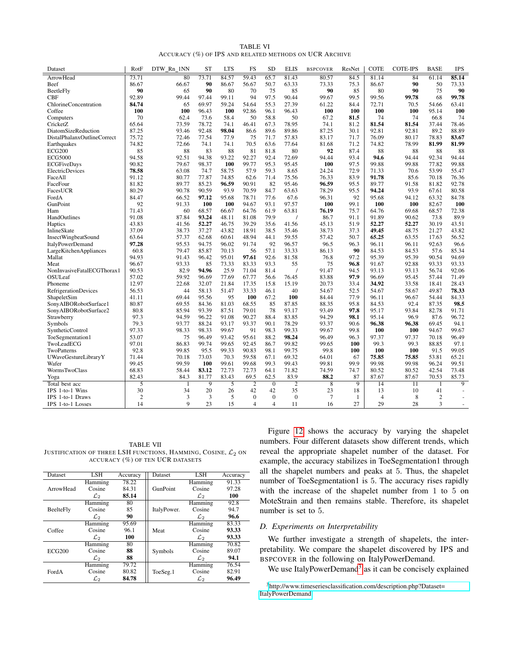| <b>TABLE VI</b>                                        |  |
|--------------------------------------------------------|--|
| ACCURACY (%) OF IPS AND RELATED METHODS ON UCR ARCHIVE |  |

<span id="page-10-1"></span>

| Dataset                     | RotF           | DTW Rn 1NN  | <b>ST</b>      | <b>LTS</b>     | FS                 | <b>SD</b>      | <b>ELIS</b>    | <b>BSPCOVER</b> | ResNet         | <b>COTE</b>     | <b>COTE-IPS</b> | <b>BASE</b>    | <b>IPS</b>     |
|-----------------------------|----------------|-------------|----------------|----------------|--------------------|----------------|----------------|-----------------|----------------|-----------------|-----------------|----------------|----------------|
| ArrowHead                   | 73.71          | 80          | 73.71          | 84.57          | $\overline{59.43}$ | 65.7           | 81.43          | 80.57           | 84.5           | 81.14           | $\overline{84}$ | 61.14          | 85.14          |
| <b>Beef</b>                 | 86.67          | 66.67       | 90             | 86.67          | 56.67              | 50.7           | 63.33          | 73.33           | 75.3           | 86.67           | 90              | 50             | 73.33          |
| <b>BeetleFly</b>            | 90             | 65          | 90             | 80             | 70                 | 75             | 85             | 90              | 85             | 80              | 90              | 75             | 90             |
| <b>CBF</b>                  | 92.89          | 99.44       | 97.44          | 99.11          | 94                 | 97.5           | 90.44          | 99.67           | 99.5           | 99.56           | 99.78           | 68             | 99.78          |
| ChlorineConcentration       | 84.74          | 65          | 69.97          | 59.24          | 54.64              | 55.3           | 27.39          | 61.22           | 84.4           | 72.71           | 70.5            | 54.66          | 63.41          |
| Coffee                      | 100            | 100         | 96.43          | 100            | 92.86              | 96.1           | 96.43          | 100             | 100            | 100             | 100             | 95.14          | 100            |
| Computers                   | 70             | 62.4        | 73.6           | 58.4           | 50                 | 58.8           | 50             | 67.2            | 81.5           | 74              | 74              | 66.8           | 74             |
| CricketZ                    | 65.64          | 73.59       | 78.72          | 74.1           | 46.41              | 67.3           | 78.95          | 74.1            | 81.2           | 81.54           | 81.54           | 37.44          | 78.46          |
| DiatomSizeReduction         | 87.25          | 93.46       | 92.48          | 98.04          | 86.6               | 89.6           | 89.86          | 87.25           | 30.1           | 92.81           | 92.81           | 89.2           | 88.89          |
| DistalPhalanxOutlineCorrect | 75.72          | 72.46       | 77.54          | 77.9           | 75                 | 71.7           | 57.83          | 83.17           | 71.7           | 76.09           | 80.17           | 78.83          | 83.67          |
| Earthquakes                 | 74.82          | 72.66       | 74.1           | 74.1           | 70.5               | 63.6           | 77.64          | 81.68           | 71.2           | 74.82           | 78.99           | 81.99          | 81.99          |
| <b>ECG200</b>               | 85             | 88          | 83             | 88             | 81                 | 81.8           | 80             | 92              | 87.4           | 88              | 88              | 88             | 88             |
| <b>ECG5000</b>              | 94.58          | 92.51       | 94.38          | 93.22          | 92.27              | 92.4           | 72.69          | 94.44           | 93.4           | 94.6            | 94.44           | 92.34          | 94.44          |
| <b>ECGFiveDays</b>          | 90.82          | 79.67       | 98.37          | 100            | 99.77              | 95.3           | 95.45          | 100             | 97.5           | 99.88           | 99.88           | 77.82          | 99.88          |
| <b>ElectricDevices</b>      | 78.58          | 63.08       | 74.7           | 58.75          | 57.9               | 59.3           | 8.65           | 24.24           | 72.9           | 71.33           | 70.6            | 53.99          | 55.47          |
| FaceAll                     | 91.12          | 80.77       | 77.87          | 74.85          | 62.6               | 71.4           | 75.56          | 76.33           | 83.9           | 91.78           | 85.6            | 70.18          | 76.36          |
| FaceFour                    | 81.82          | 89.77       | 85.23          | 96.59          | 90.91              | 82             | 95.46          | 96.59           | 95.5           | 89.77           | 91.58           | 81.82          | 92.78          |
| FacesUCR                    | 80.29          | 90.78       | 90.59          | 93.9           | 70.59              | 84.7           | 63.63          | 78.29           | 95.5           | 94.24           | 93.9            | 67.61          | 80.58          |
| FordA                       | 84.47          | 66.52       | 97.12          | 95.68          | 78.71              | 77.6           | 67.6           | 96.31           | 92             | 95.68           | 94.12           | 63.32          | 84.78          |
| GunPoint                    | 92             | 91.33       | 100            | 100            | 94.67              | 93.1           | 97.57          | 100             | 99.1           | 100             | 100             | 82.67          | 100            |
| Ham                         | 71.43          | 60          | 68.57          | 66.67          | 64.76              | 61.9           | 63.81          | 76.19           | 75.7           | 64.76           | 69.68           | 68.57          | 72.38          |
| HandOutlines                | 91.08          | 87.84       | 93.24          | 48.11          | 81.08              | 79.9           | $\prime$       | 86.7            | 91.1           | 91.89           | 90.62           | 73.8           | 89.9           |
| Haptics                     | 43.83          | 41.56       | 52.27          | 46.75          | 39.29              | 35.6           | 41.56          | 45.13           | 51.9           | 52.27           | 52.27           | 30.19          | 43.51          |
| InlineSkate                 | 37.09          | 38.73       | 37.27          | 43.82          | 18.91              | 38.5           | 35.46          | 38.73           | 37.3           | 49.45           | 48.75           | 21.27          | 43.82          |
| InsectWingbeatSound         | 63.64          | 57.37       | 62.68          | 60.61          | 48.94              | 44.1           | 59.55          | 57.42           | 50.7           | 65.25           | 63.55           | 17.63          | 56.52          |
| <b>ItalyPowerDemand</b>     | 97.28          | 95.53       | 94.75          | 96.02          | 91.74              | 92             | 96.57          | 96.5            | 96.3           | 96.11           | 96.11           | 92.63          | 96.6           |
| LargeKitchenAppliances      | 60.8           | 79.47       | 85.87          | 70.13          | 56                 | 57.1           | 33.33          | 86.13           | 90             | 84.53           | 84.53           | 57.6           | 85.34          |
| Mallat                      | 94.93          | 91.43       | 96.42          | 95.01          | 97.61              | 92.6           | 81.58          | 76.8            | 97.2           | 95.39           | 95.39           | 90.54          | 94.69          |
| Meat                        | 96.67          | 93.33       | 85             | 73.33          | 83.33              | 93.3           | 55             | 75              | 96.8           | 91.67           | 92.88           | 93.33          | 93.33          |
| NonInvasiveFatalECGThorax1  | 90.53          | 82.9        | 94.96          | 25.9           | 71.04              | 81.4           | $\prime$       | 91.47           | 94.5           | 93.13           | 93.13           | 56.74          | 92.06          |
| OSULeaf                     | 57.02          | 59.92       | 96.69          | 77.69          | 67.77              | 56.6           | 76.45          | 83.88           | 97.9           | 96.69           | 95.45           | 57.44          | 71.49          |
| Phoneme                     | 12.97          | 22.68       | 32.07          | 21.84          | 17.35              | 15.8           | 15.19          | 20.73           | 33.4           | 34.92           | 33.58           | 18.41          | 28.43          |
| <b>RefrigerationDevices</b> | 56.53          | 44          | 58.13          | 51.47          | 33.33              | 46.1           | 40             | 54.67           | 52.5           | 54.67           | 58.67           | 49.87          | 78.33          |
| ShapeletSim                 | 41.11          | 69.44       | 95.56          | 95             | 100                | 67.2           | 100            | 84.44           | 77.9           | 96.11           | 96.67           | 54.44          | 84.33          |
| SonyAIBORobotSurface1       | 80.87          | 69.55       | 84.36          | 81.03          | 68.55              | 85             | 87.85          | 88.35           | 95.8           | 84.53           | 92.4            | 87.35          | 98.5           |
| SonyAIBORobotSurface2       | 80.8           | 85.94       | 93.39          | 87.51          | 79.01              | 78             | 93.17          | 93.49           | 97.8           | 95.17           | 93.84           | 82.78          | 91.71          |
| Strawberry                  | 97.3           | 94.59       | 96.22          | 91.08          | 90.27              | 88.4           | 83.85          | 94.29           | 98.1           | 95.14           | 96.9            | 87.6           | 96.72          |
| Symbols                     | 79.3           | 93.77       | 88.24          | 93.17          | 93.37              | 90.1           | 78.29          | 93.37           | 90.6           | 96.38           | 96.38           | 69.45          | 94.1           |
| SyntheticControl            | 97.33          | 98.33       | 98.33          | 99.67          | 91                 | 98.3           | 99.33          | 99.67           | 99.8           | 100             | 100             | 94.67          | 99.67          |
| ToeSegmentation1            | 53.07          | 75          | 96.49          | 93.42          | 95.61              | 88.2           | 98.24          | 96.49           | 96.3           | 97.37           | 97.37           | 70.18          | 96.49          |
| TwoLeadECG                  | 97.01          | 86.83       | 99.74          | 99.65          | 92.45              | 86.7           | 99.82          | 99.65           | 100            | 99.3            | 99.3            | 88.85          | 97.1           |
| TwoPatterns                 | 92.8           | 99.85       | 95.5           | 99.33          | 90.83              | 98.1           | 99.75          | 99.8            | 100            | 100             | 100             | 91.5           | 99.05          |
| UWaveGestureLibraryY        | 71.44          | 70.18       | 73.03          | 70.3           | 59.58              | 67.1           | 69.32          | 64.01           | 67             | 75.85           | 75.85           | 53.81          | 65.21          |
| Wafer                       | 99.45          | 99.59       | 100            | 99.61          | 99.68              | 99.3           | 99.43          | 99.81           | 99.9           | 99.98           | 99.98           | 96.24          | 99.51          |
| <b>WormsTwoClass</b>        | 68.83          | 58.44       | 83.12          | 72.73          | 72.73              | 64.1           | 71.82          | 74.59           | 74.7           | 80.52           | 80.52           | 42.54          | 73.48          |
| Yoga                        | 82.43          | 84.3        | 81.77          | 83.43          | 69.5               | 62.5           | 83.9           | 88.2            | 87             | 87.67           | 87.67           | 70.53          | 85.73          |
| Total best acc              | $\overline{5}$ | 1           | $\overline{9}$ | $\overline{5}$ | $\overline{2}$     | $\overline{0}$ | $\overline{2}$ | $\overline{8}$  | $\overline{9}$ | $\overline{14}$ | $\overline{11}$ |                | $\overline{9}$ |
| IPS 1-to-1 Wins             | 30             | 34          | 20             | 26             | 42                 | 42             | 35             | 23              | 18             | 13              | 10              | 41             |                |
| IPS 1-to-1 Draws            | $\overline{2}$ | 3           | 3              | 5              | $\Omega$           | $\mathbf{0}$   | $\mathbf{0}$   | $\overline{7}$  | 1              | $\overline{4}$  | 8               | $\overline{c}$ | $\overline{a}$ |
| IPS 1-to-1 Losses           | 14             | $\mathbf Q$ | 23             | 15             | $\overline{4}$     | $\overline{4}$ | 11             | 16              | 27             | 29              | 28              | 3              | $\sim$         |

<span id="page-10-0"></span>TABLE VII JUSTIFICATION OF THREE LSH FUNCTIONS, HAMMING, COSINE,  $\mathcal{L}_2$  on ACCURACY (%) OF TEN UCR DATASETS

| <b>Dataset</b>   | LSH.            | Accuracy | LSH<br>Dataset |                 | Accuracy |
|------------------|-----------------|----------|----------------|-----------------|----------|
|                  | Hamming         | 78.22    |                | Hamming         | 91.33    |
| ArrowHead        | Cosine          | 84.31    | GunPoint       | Cosine          | 97.28    |
|                  | $\mathcal{L}_2$ | 85.14    |                | $\mathcal{L}_2$ | 100      |
|                  | Hamming         | 80       |                | Hamming         | 92.8     |
| <b>BeelteFly</b> | Cosine          | 85       | ItalyPower.    | Cosine          | 94.7     |
|                  | $\mathcal{L}_2$ | 90       |                | $\mathcal{L}_2$ | 96.6     |
|                  | Hamming         | 95.69    |                | Hamming         | 83.33    |
| Coffee           | Cosine          | 96.1     | Meat           | Cosine          | 93.33    |
|                  | $\mathcal{L}_2$ | 100      |                | $\mathcal{L}_2$ | 93.33    |
|                  | Hamming         | 80       |                | Hamming         | 70.82    |
| <b>ECG200</b>    | Cosine          | 88       | Symbols        | Cosine          | 89.07    |
|                  | $\mathcal{L}_2$ | 88       |                | $\mathcal{L}_2$ | 94.1     |
|                  | Hamming         | 79.72    |                | Hamming         | 76.54    |
| FordA            | Cosine          | 80.82    | ToeSeg.1       | Cosine          | 82.91    |
|                  | $\mathcal{L}_2$ | 84.78    |                | $\mathcal{L}_2$ | 96.49    |

Figure [12](#page-11-2) shows the accuracy by varying the shapelet numbers. Four different datasets show different trends, which reveal the appropriate shapelet number of the dataset. For example, the accuracy stabilizes in ToeSegmentation1 through all the shapelet numbers and peaks at 5. Thus, the shapelet number of ToeSegmentation1 is 5. The accuracy rises rapidly with the increase of the shapelet number from 1 to 5 on MoteStrain and then remains stable. Therefore, its shapelet number is set to 5.

# *D. Experiments on Interpretability*

We further investigate a strength of shapelets, the interpretability. We compare the shapelet discovered by IPS and BSPCOVER in the following on ItalyPowerDemand.

We use ItalyPowerDemand<sup>[3](#page-10-2)</sup> as it can be concisely explained

<span id="page-10-2"></span><sup>3</sup>[http://www.timeseriesclassification.com/description.php?Dataset=](http://www.timeseriesclassification.com/description.php?Dataset=ItalyPowerDemand) [ItalyPowerDemand](http://www.timeseriesclassification.com/description.php?Dataset=ItalyPowerDemand)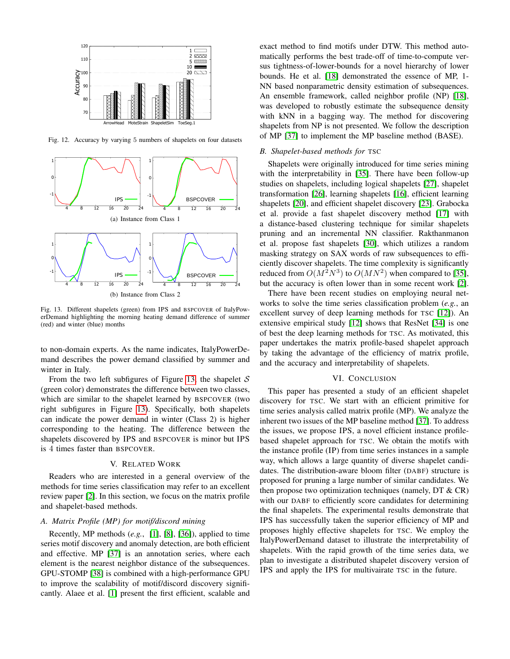

<span id="page-11-2"></span>Fig. 12. Accuracy by varying 5 numbers of shapelets on four datasets



<span id="page-11-3"></span>Fig. 13. Different shapelets (green) from IPS and BSPCOVER of ItalyPowerDemand highlighting the morning heating demand difference of summer (red) and winter (blue) months

to non-domain experts. As the name indicates, ItalyPowerDemand describes the power demand classified by summer and winter in Italy.

From the two left subfigures of Figure [13,](#page-11-3) the shapelet  $S$ (green color) demonstrates the difference between two classes, which are similar to the shapelet learned by BSPCOVER (two right subfigures in Figure [13\)](#page-11-3). Specifically, both shapelets can indicate the power demand in winter (Class 2) is higher corresponding to the heating. The difference between the shapelets discovered by IPS and BSPCOVER is minor but IPS is 4 times faster than BSPCOVER.

## V. RELATED WORK

<span id="page-11-0"></span>Readers who are interested in a general overview of the methods for time series classification may refer to an excellent review paper [\[2\]](#page-12-0). In this section, we focus on the matrix profile and shapelet-based methods.

# *A. Matrix Profile (MP) for motif/discord mining*

Recently, MP methods (*e.g.*, [\[1\]](#page-12-13), [\[8\]](#page-12-14), [\[36\]](#page-12-15)), applied to time series motif discovery and anomaly detection, are both efficient and effective. MP [\[37\]](#page-12-16) is an annotation series, where each element is the nearest neighbor distance of the subsequences. GPU-STOMP [\[38\]](#page-12-34) is combined with a high-performance GPU to improve the scalability of motif/discord discovery significantly. Alaee et al. [\[1\]](#page-12-13) present the first efficient, scalable and exact method to find motifs under DTW. This method automatically performs the best trade-off of time-to-compute versus tightness-of-lower-bounds for a novel hierarchy of lower bounds. He et al. [\[18\]](#page-12-35) demonstrated the essence of MP, 1- NN based nonparametric density estimation of subsequences. An ensemble framework, called neighbor profile (NP) [\[18\]](#page-12-35), was developed to robustly estimate the subsequence density with kNN in a bagging way. The method for discovering shapelets from NP is not presented. We follow the description of MP [\[37\]](#page-12-16) to implement the MP baseline method (BASE).

## *B. Shapelet-based methods for* TSC

Shapelets were originally introduced for time series mining with the interpretability in [\[35\]](#page-12-6). There have been follow-up studies on shapelets, including logical shapelets [\[27\]](#page-12-36), shapelet transformation [\[26\]](#page-12-10), learning shapelets [\[16\]](#page-12-8), efficient learning shapelets [\[20\]](#page-12-37), and efficient shapelet discovery [\[23\]](#page-12-9). Grabocka et al. provide a fast shapelet discovery method [\[17\]](#page-12-30) with a distance-based clustering technique for similar shapelets pruning and an incremental NN classifier. Rakthanmanon et al. propose fast shapelets [\[30\]](#page-12-29), which utilizes a random masking strategy on SAX words of raw subsequences to efficiently discover shapelets. The time complexity is significantly reduced from  $O(M^2N^3)$  to  $O(MN^2)$  when compared to [\[35\]](#page-12-6), but the accuracy is often lower than in some recent work [\[2\]](#page-12-0).

There have been recent studies on employing neural networks to solve the time series classification problem (*e.g.*, an excellent survey of deep learning methods for TSC [\[12\]](#page-12-1)). An extensive empirical study [\[12\]](#page-12-1) shows that ResNet [\[34\]](#page-12-31) is one of best the deep learning methods for TSC. As motivated, this paper undertakes the matrix profile-based shapelet approach by taking the advantage of the efficiency of matrix profile, and the accuracy and interpretability of shapelets.

## VI. CONCLUSION

<span id="page-11-1"></span>This paper has presented a study of an efficient shapelet discovery for TSC. We start with an efficient primitive for time series analysis called matrix profile (MP). We analyze the inherent two issues of the MP baseline method [\[37\]](#page-12-16). To address the issues, we propose IPS, a novel efficient instance profilebased shapelet approach for TSC. We obtain the motifs with the instance profile (IP) from time series instances in a sample way, which allows a large quantity of diverse shapelet candidates. The distribution-aware bloom filter (DABF) structure is proposed for pruning a large number of similar candidates. We then propose two optimization techniques (namely, DT & CR) with our DABF to efficiently score candidates for determining the final shapelets. The experimental results demonstrate that IPS has successfully taken the superior efficiency of MP and proposes highly effective shapelets for TSC. We employ the ItalyPowerDemand dataset to illustrate the interpretability of shapelets. With the rapid growth of the time series data, we plan to investigate a distributed shapelet discovery version of IPS and apply the IPS for multivairate TSC in the future.